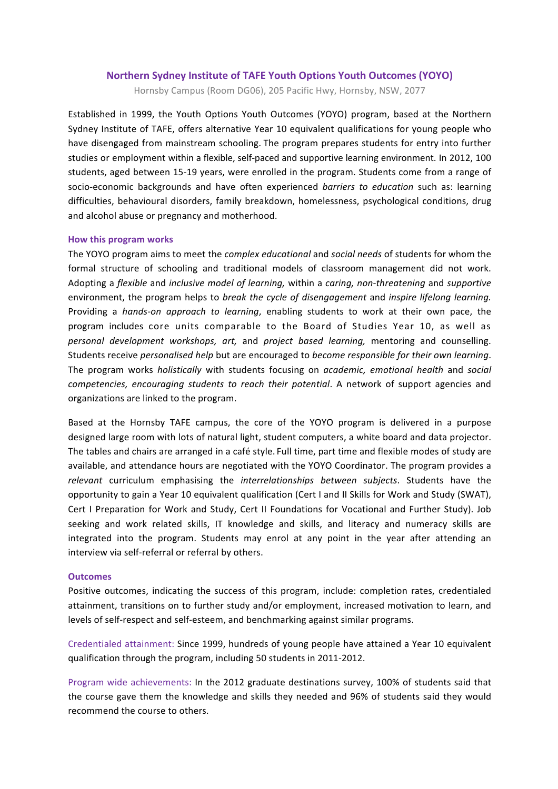#### **Northern Sydney Institute of TAFE Youth Options Youth Outcomes (YOYO)**

Hornsby Campus (Room DG06), 205 Pacific Hwy, Hornsby, NSW, 2077

Established in 1999, the Youth Options Youth Outcomes (YOYO) program, based at the Northern Sydney Institute of TAFE, offers alternative Year 10 equivalent qualifications for young people who have disengaged from mainstream schooling. The program prepares students for entry into further studies or employment within a flexible, self-paced and supportive learning environment. In 2012, 100 students, aged between 15-19 years, were enrolled in the program. Students come from a range of socio-economic backgrounds and have often experienced *barriers* to education such as: learning difficulties, behavioural disorders, family breakdown, homelessness, psychological conditions, drug and alcohol abuse or pregnancy and motherhood.

#### **How this program works**

The YOYO program aims to meet the *complex educational* and *social needs* of students for whom the formal structure of schooling and traditional models of classroom management did not work. Adopting a *flexible* and *inclusive model of learning,* within a *caring, non-threatening* and *supportive*  environment, the program helps to *break the cycle of disengagement* and *inspire lifelong learning*. Providing a *hands-on approach to learning*, enabling students to work at their own pace, the program includes core units comparable to the Board of Studies Year 10, as well as *personal development workshops, art,*  and *project based learning,*  mentoring and counselling. Students receive *personalised help* but are encouraged to *become responsible for their own learning*. The program works *holistically* with students focusing on *academic, emotional health* and *social competencies, encouraging students to reach their potential*. A network of support agencies and organizations are linked to the program.

Based at the Hornsby TAFE campus, the core of the YOYO program is delivered in a purpose designed large room with lots of natural light, student computers, a white board and data projector. The tables and chairs are arranged in a café style. Full time, part time and flexible modes of study are available, and attendance hours are negotiated with the YOYO Coordinator. The program provides a relevant curriculum emphasising the *interrelationships* between subjects. Students have the opportunity to gain a Year 10 equivalent qualification (Cert I and II Skills for Work and Study (SWAT), Cert I Preparation for Work and Study, Cert II Foundations for Vocational and Further Study). Job seeking and work related skills, IT knowledge and skills, and literacy and numeracy skills are integrated into the program. Students may enrol at any point in the year after attending an interview via self-referral or referral by others.

#### **Outcomes**

Positive outcomes, indicating the success of this program, include: completion rates, credentialed attainment, transitions on to further study and/or employment, increased motivation to learn, and levels of self-respect and self-esteem, and benchmarking against similar programs.

Credentialed attainment: Since 1999, hundreds of young people have attained a Year 10 equivalent qualification through the program, including 50 students in 2011-2012.

Program wide achievements: In the 2012 graduate destinations survey, 100% of students said that the course gave them the knowledge and skills they needed and 96% of students said they would recommend the course to others.